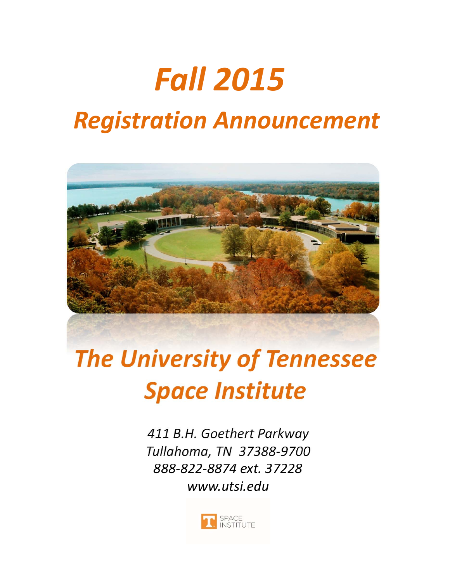# *Fall 2015*

# *Registration Announcement*



# *The University of Tennessee Space Institute*

*411 B.H. Goethert Parkway Tullahoma, TN 37388‐9700 888‐822‐8874 ext. 37228 www.utsi.edu*

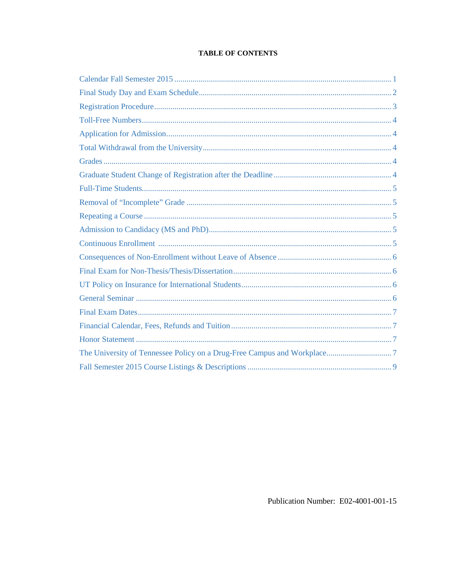# **TABLE OF CONTENTS**

Publication Number: E02-4001-001-15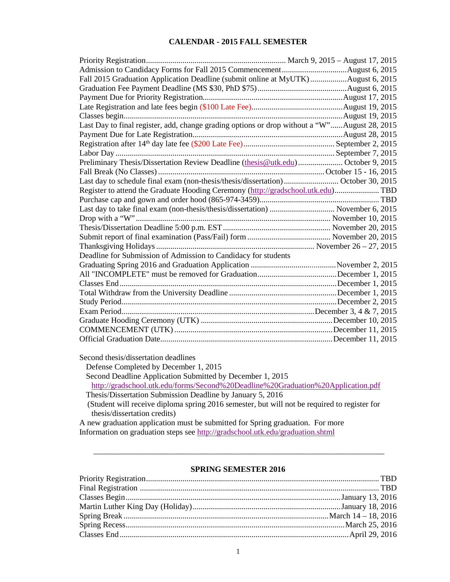# **CALENDAR - 2015 FALL SEMESTER**

<span id="page-2-0"></span>

| Fall 2015 Graduation Application Deadline (submit online at MyUTK)August 6, 2015             |  |
|----------------------------------------------------------------------------------------------|--|
|                                                                                              |  |
|                                                                                              |  |
|                                                                                              |  |
|                                                                                              |  |
| Last Day to final register, add, change grading options or drop without a "W"August 28, 2015 |  |
|                                                                                              |  |
|                                                                                              |  |
|                                                                                              |  |
| Preliminary Thesis/Dissertation Review Deadline (thesis@utk.edu) October 9, 2015             |  |
|                                                                                              |  |
| Last day to schedule final exam (non-thesis/thesis/dissertation) October 30, 2015            |  |
| Register to attend the Graduate Hooding Ceremony (http://gradschool.utk.edu) TBD             |  |
|                                                                                              |  |
| Last day to take final exam (non-thesis/thesis/dissertation)  November 6, 2015               |  |
|                                                                                              |  |
|                                                                                              |  |
|                                                                                              |  |
|                                                                                              |  |
| Deadline for Submission of Admission to Candidacy for students                               |  |
|                                                                                              |  |
|                                                                                              |  |
|                                                                                              |  |
|                                                                                              |  |
|                                                                                              |  |
|                                                                                              |  |
|                                                                                              |  |
|                                                                                              |  |
|                                                                                              |  |
|                                                                                              |  |

Second thesis/dissertation deadlines Defense Completed by December 1, 2015 Second Deadline Application Submitted by December 1, 2015 <http://gradschool.utk.edu/forms/Second%20Deadline%20Graduation%20Application.pdf> Thesis/Dissertation Submission Deadline by January 5, 2016 (Student will receive diploma spring 2016 semester, but will not be required to register for thesis/dissertation credits) A new graduation application must be submitted for Spring graduation. For more

Information on graduation steps see<http://gradschool.utk.edu/graduation.shtml>

# **SPRING SEMESTER 2016**

\_\_\_\_\_\_\_\_\_\_\_\_\_\_\_\_\_\_\_\_\_\_\_\_\_\_\_\_\_\_\_\_\_\_\_\_\_\_\_\_\_\_\_\_\_\_\_\_\_\_\_\_\_\_\_\_\_\_\_\_\_\_\_\_\_\_\_\_\_\_\_\_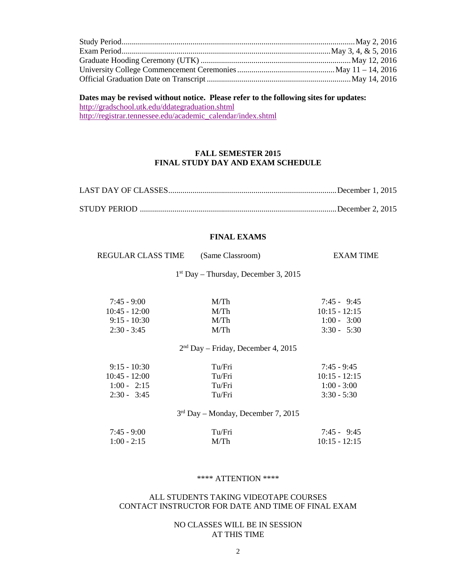<span id="page-3-0"></span>

# **Dates may be revised without notice. Please refer to the following sites for updates:**

<http://gradschool.utk.edu/ddategraduation.shtml> [http://registrar.tennessee.edu/academic\\_calendar/index.shtml](http://registrar.tennessee.edu/academic_calendar/index.shtml)

# **FALL SEMESTER 2015 FINAL STUDY DAY AND EXAM SCHEDULE**

# **FINAL EXAMS**

| REGULAR CLASS TIME | (Same Classroom) | EXAM TIME |
|--------------------|------------------|-----------|
|                    |                  |           |

1st Day – Thursday, December 3, 2015

| M/Th | $7:45 - 9:45$   |
|------|-----------------|
| M/Th | $10:15 - 12:15$ |
| M/Th | $1:00 - 3:00$   |
| M/Th | $3:30 - 5:30$   |
|      |                 |

# 2nd Day – Friday, December 4, 2015

| $9:15 - 10:30$  | Tu/Fri | $7:45 - 9:45$   |
|-----------------|--------|-----------------|
| $10:45 - 12:00$ | Tu/Fri | $10:15 - 12:15$ |
| $1:00 - 2:15$   | Tu/Fri | $1:00 - 3:00$   |
| $2:30 - 3:45$   | Tu/Fri | $3:30 - 5:30$   |

3rd Day – Monday, December 7, 2015

| $7:45 - 9:00$ | Tu/Fri | $7:45 - 9:45$   |
|---------------|--------|-----------------|
| $1:00 - 2:15$ | M/Th   | $10:15 - 12:15$ |

#### \*\*\*\* ATTENTION \*\*\*\*

#### ALL STUDENTS TAKING VIDEOTAPE COURSES CONTACT INSTRUCTOR FOR DATE AND TIME OF FINAL EXAM

# NO CLASSES WILL BE IN SESSION AT THIS TIME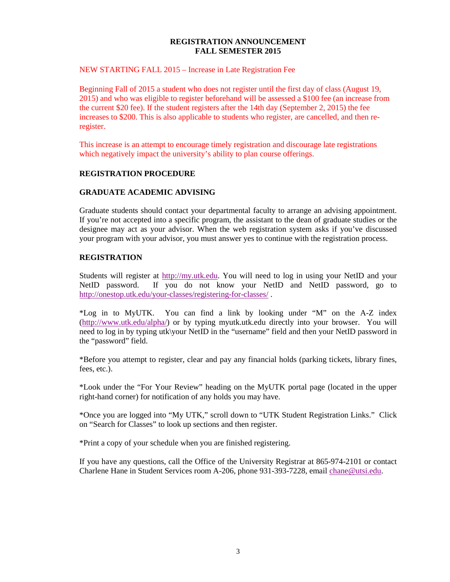#### **REGISTRATION ANNOUNCEMENT FALL SEMESTER 2015**

#### <span id="page-4-0"></span>NEW STARTING FALL 2015 – Increase in Late Registration Fee

Beginning Fall of 2015 a student who does not register until the first day of class (August 19, 2015) and who was eligible to register beforehand will be assessed a \$100 fee (an increase from the current \$20 fee). If the student registers after the 14th day (September 2, 2015) the fee increases to \$200. This is also applicable to students who register, are cancelled, and then reregister.

This increase is an attempt to encourage timely registration and discourage late registrations which negatively impact the university's ability to plan course offerings.

# **REGISTRATION PROCEDURE**

# **GRADUATE ACADEMIC ADVISING**

Graduate students should contact your departmental faculty to arrange an advising appointment. If you're not accepted into a specific program, the assistant to the dean of graduate studies or the designee may act as your advisor. When the web registration system asks if you've discussed your program with your advisor, you must answer yes to continue with the registration process.

# **REGISTRATION**

Students will register at [http://my.utk.edu.](http://my.utk.edu/) You will need to log in using your NetID and your NetID password. If you do not know your NetID and NetID password, go to <http://onestop.utk.edu/your-classes/registering-for-classes/> .

\*Log in to MyUTK. You can find a link by looking under "M" on the A-Z index [\(http://www.utk.edu/alpha/\)](http://www.utk.edu/alpha/) or by typing myutk.utk.edu directly into your browser. You will need to log in by typing utk\your NetID in the "username" field and then your NetID password in the "password" field.

\*Before you attempt to register, clear and pay any financial holds (parking tickets, library fines, fees, etc.).

\*Look under the "For Your Review" heading on the MyUTK portal page (located in the upper right-hand corner) for notification of any holds you may have.

\*Once you are logged into "My UTK," scroll down to "UTK Student Registration Links." Click on "Search for Classes" to look up sections and then register.

\*Print a copy of your schedule when you are finished registering.

If you have any questions, call the Office of the University Registrar at 865-974-2101 or contact Charlene Hane in Student Services room A-206, phone 931-393-7228, email [chane@utsi.edu.](mailto:chane@utsi.edu)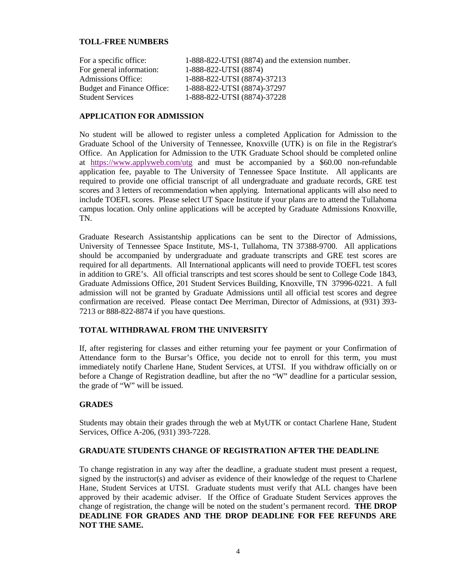# <span id="page-5-0"></span>**TOLL-FREE NUMBERS**

| For a specific office:     | 1-888-822-UTSI (8874) and the extension number. |
|----------------------------|-------------------------------------------------|
| For general information:   | 1-888-822-UTSI (8874)                           |
| Admissions Office:         | 1-888-822-UTSI (8874)-37213                     |
| Budget and Finance Office: | 1-888-822-UTSI (8874)-37297                     |
| <b>Student Services</b>    | 1-888-822-UTSI (8874)-37228                     |

#### **APPLICATION FOR ADMISSION**

No student will be allowed to register unless a completed Application for Admission to the Graduate School of the University of Tennessee, Knoxville (UTK) is on file in the Registrar's Office. An Application for Admission to the UTK Graduate School should be completed online at <https://www.applyweb.com/utg> and must be accompanied by a \$60.00 non-refundable application fee, payable to The University of Tennessee Space Institute. All applicants are required to provide one official transcript of all undergraduate and graduate records, GRE test scores and 3 letters of recommendation when applying. International applicants will also need to include TOEFL scores. Please select UT Space Institute if your plans are to attend the Tullahoma campus location. Only online applications will be accepted by Graduate Admissions Knoxville, TN.

Graduate Research Assistantship applications can be sent to the Director of Admissions, University of Tennessee Space Institute, MS-1, Tullahoma, TN 37388-9700. All applications should be accompanied by undergraduate and graduate transcripts and GRE test scores are required for all departments. All International applicants will need to provide TOEFL test scores in addition to GRE's. All official transcripts and test scores should be sent to College Code 1843, Graduate Admissions Office, 201 Student Services Building, Knoxville, TN 37996-0221. A full admission will not be granted by Graduate Admissions until all official test scores and degree confirmation are received. Please contact Dee Merriman, Director of Admissions, at (931) 393- 7213 or 888-822-8874 if you have questions.

# **TOTAL WITHDRAWAL FROM THE UNIVERSITY**

If, after registering for classes and either returning your fee payment or your Confirmation of Attendance form to the Bursar's Office, you decide not to enroll for this term, you must immediately notify Charlene Hane, Student Services, at UTSI. If you withdraw officially on or before a Change of Registration deadline, but after the no "W" deadline for a particular session, the grade of "W" will be issued.

# **GRADES**

Students may obtain their grades through the web at MyUTK or contact Charlene Hane, Student Services, Office A-206, (931) 393-7228.

# **GRADUATE STUDENTS CHANGE OF REGISTRATION AFTER THE DEADLINE**

To change registration in any way after the deadline, a graduate student must present a request, signed by the instructor(s) and adviser as evidence of their knowledge of the request to Charlene Hane, Student Services at UTSI. Graduate students must verify that ALL changes have been approved by their academic adviser. If the Office of Graduate Student Services approves the change of registration, the change will be noted on the student's permanent record. **THE DROP DEADLINE FOR GRADES AND THE DROP DEADLINE FOR FEE REFUNDS ARE NOT THE SAME.**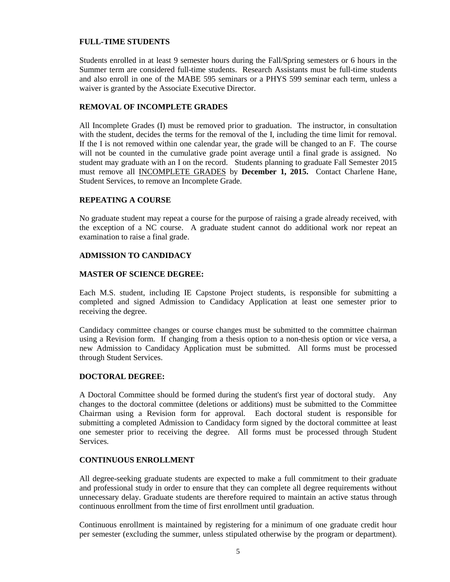# <span id="page-6-0"></span>**FULL-TIME STUDENTS**

Students enrolled in at least 9 semester hours during the Fall/Spring semesters or 6 hours in the Summer term are considered full-time students. Research Assistants must be full-time students and also enroll in one of the MABE 595 seminars or a PHYS 599 seminar each term, unless a waiver is granted by the Associate Executive Director.

# **REMOVAL OF INCOMPLETE GRADES**

All Incomplete Grades (I) must be removed prior to graduation. The instructor, in consultation with the student, decides the terms for the removal of the I, including the time limit for removal. If the I is not removed within one calendar year, the grade will be changed to an F. The course will not be counted in the cumulative grade point average until a final grade is assigned. No student may graduate with an I on the record. Students planning to graduate Fall Semester 2015 must remove all INCOMPLETE GRADES by **December 1, 2015.** Contact Charlene Hane, Student Services, to remove an Incomplete Grade.

# **REPEATING A COURSE**

No graduate student may repeat a course for the purpose of raising a grade already received, with the exception of a NC course. A graduate student cannot do additional work nor repeat an examination to raise a final grade.

# **ADMISSION TO CANDIDACY**

#### **MASTER OF SCIENCE DEGREE:**

Each M.S. student, including IE Capstone Project students, is responsible for submitting a completed and signed Admission to Candidacy Application at least one semester prior to receiving the degree.

Candidacy committee changes or course changes must be submitted to the committee chairman using a Revision form. If changing from a thesis option to a non-thesis option or vice versa, a new Admission to Candidacy Application must be submitted. All forms must be processed through Student Services.

# **DOCTORAL DEGREE:**

A Doctoral Committee should be formed during the student's first year of doctoral study. Any changes to the doctoral committee (deletions or additions) must be submitted to the Committee Chairman using a Revision form for approval. Each doctoral student is responsible for submitting a completed Admission to Candidacy form signed by the doctoral committee at least one semester prior to receiving the degree. All forms must be processed through Student Services.

# **CONTINUOUS ENROLLMENT**

All degree-seeking graduate students are expected to make a full commitment to their graduate and professional study in order to ensure that they can complete all degree requirements without unnecessary delay. Graduate students are therefore required to maintain an active status through continuous enrollment from the time of first enrollment until graduation.

Continuous enrollment is maintained by registering for a minimum of one graduate credit hour per semester (excluding the summer, unless stipulated otherwise by the program or department).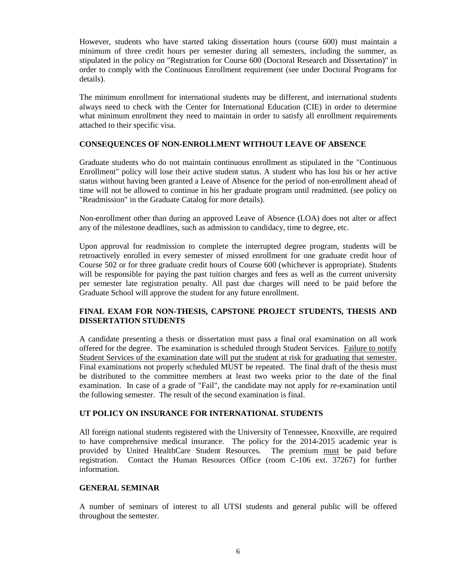<span id="page-7-0"></span>However, students who have started taking dissertation hours (course 600) must maintain a minimum of three credit hours per semester during all semesters, including the summer, as stipulated in the policy on "Registration for Course 600 (Doctoral Research and Dissertation)" in order to comply with the Continuous Enrollment requirement (see under Doctoral Programs for details).

The minimum enrollment for international students may be different, and international students always need to check with the Center for International Education (CIE) in order to determine what minimum enrollment they need to maintain in order to satisfy all enrollment requirements attached to their specific visa.

# **CONSEQUENCES OF NON-ENROLLMENT WITHOUT LEAVE OF ABSENCE**

Graduate students who do not maintain continuous enrollment as stipulated in the "Continuous Enrollment" policy will lose their active student status. A student who has lost his or her active status without having been granted a Leave of Absence for the period of non-enrollment ahead of time will not be allowed to continue in his her graduate program until readmitted. (see policy on "Readmission" in the Graduate Catalog for more details).

Non-enrollment other than during an approved Leave of Absence (LOA) does not alter or affect any of the milestone deadlines, such as admission to candidacy, time to degree, etc.

Upon approval for readmission to complete the interrupted degree program, students will be retroactively enrolled in every semester of missed enrollment for one graduate credit hour of Course 502 or for three graduate credit hours of Course 600 (whichever is appropriate). Students will be responsible for paying the past tuition charges and fees as well as the current university per semester late registration penalty. All past due charges will need to be paid before the Graduate School will approve the student for any future enrollment.

# **FINAL EXAM FOR NON-THESIS, CAPSTONE PROJECT STUDENTS, THESIS AND DISSERTATION STUDENTS**

A candidate presenting a thesis or dissertation must pass a final oral examination on all work offered for the degree. The examination is scheduled through Student Services. Failure to notify Student Services of the examination date will put the student at risk for graduating that semester. Final examinations not properly scheduled MUST be repeated. The final draft of the thesis must be distributed to the committee members at least two weeks prior to the date of the final examination. In case of a grade of "Fail", the candidate may not apply for re-examination until the following semester. The result of the second examination is final.

#### **UT POLICY ON INSURANCE FOR INTERNATIONAL STUDENTS**

All foreign national students registered with the University of Tennessee, Knoxville, are required to have comprehensive medical insurance. The policy for the 2014-2015 academic year is provided by United HealthCare Student Resources. The premium must be paid before provided by United HealthCare Student Resources. registration. Contact the Human Resources Office (room C-106 ext. 37267) for further information.

#### **GENERAL SEMINAR**

A number of seminars of interest to all UTSI students and general public will be offered throughout the semester.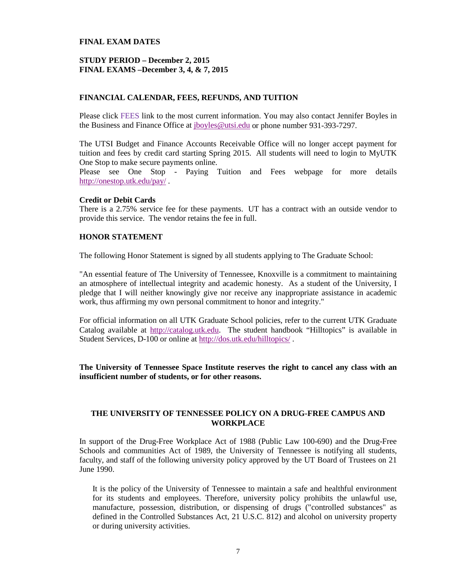#### <span id="page-8-0"></span>**FINAL EXAM DATES**

#### **STUDY PERIOD – December 2, 2015 FINAL EXAMS –December 3, 4, & 7, 2015**

#### **FINANCIAL CALENDAR, FEES, REFUNDS, AND TUITION**

Please click FEES link to the most current information. You may also contact Jennifer Boyles in the Business and Finance Office at *jboyles@utsi.edu* or phone number 931-393-7297.

The UTSI Budget and Finance Accounts Receivable Office will no longer accept payment for tuition and fees by credit card starting Spring 2015. All students will need to login to MyUTK One Stop to make secure payments online.

Please see One Stop - Paying Tuition and Fees webpage for more details <http://onestop.utk.edu/pay/> .

#### **Credit or Debit Cards**

There is a 2.75% service fee for these payments. UT has a contract with an outside vendor to provide this service. The vendor retains the fee in full.

#### **HONOR STATEMENT**

The following Honor Statement is signed by all students applying to The Graduate School:

"An essential feature of The University of Tennessee, Knoxville is a commitment to maintaining an atmosphere of intellectual integrity and academic honesty. As a student of the University, I pledge that I will neither knowingly give nor receive any inappropriate assistance in academic work, thus affirming my own personal commitment to honor and integrity."

For official information on all UTK Graduate School policies, refer to the current UTK Graduate Catalog available at [http://catalog.utk.edu.](http://catalog.utk.edu/) The student handbook "Hilltopics" is available in Student Services, D-100 or online at<http://dos.utk.edu/hilltopics/> .

**The University of Tennessee Space Institute reserves the right to cancel any class with an insufficient number of students, or for other reasons.**

#### **THE UNIVERSITY OF TENNESSEE POLICY ON A DRUG-FREE CAMPUS AND WORKPLACE**

In support of the Drug-Free Workplace Act of 1988 (Public Law 100-690) and the Drug-Free Schools and communities Act of 1989, the University of Tennessee is notifying all students, faculty, and staff of the following university policy approved by the UT Board of Trustees on 21 June 1990.

It is the policy of the University of Tennessee to maintain a safe and healthful environment for its students and employees. Therefore, university policy prohibits the unlawful use, manufacture, possession, distribution, or dispensing of drugs ("controlled substances" as defined in the Controlled Substances Act, 21 U.S.C. 812) and alcohol on university property or during university activities.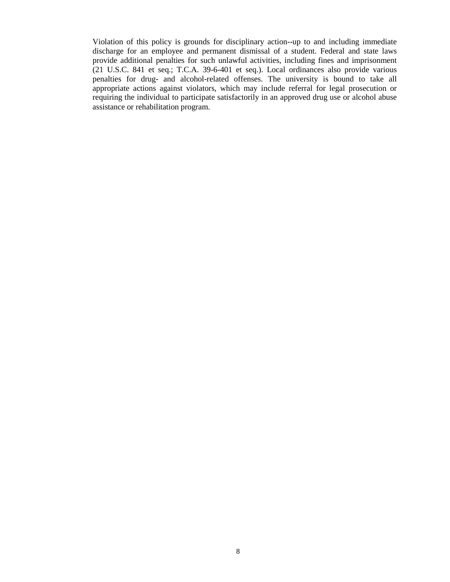Violation of this policy is grounds for disciplinary action--up to and including immediate discharge for an employee and permanent dismissal of a student. Federal and state laws provide additional penalties for such unlawful activities, including fines and imprisonment (21 U.S.C. 841 et seq.; T.C.A. 39-6-401 et seq.). Local ordinances also provide various penalties for drug- and alcohol-related offenses. The university is bound to take all appropriate actions against violators, which may include referral for legal prosecution or requiring the individual to participate satisfactorily in an approved drug use or alcohol abuse assistance or rehabilitation program.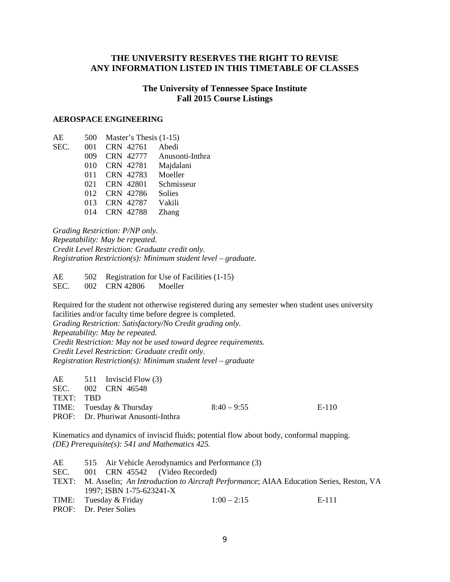# <span id="page-10-0"></span>**THE UNIVERSITY RESERVES THE RIGHT TO REVISE ANY INFORMATION LISTED IN THIS TIMETABLE OF CLASSES**

# **The University of Tennessee Space Institute Fall 2015 Course Listings**

#### **AEROSPACE ENGINEERING**

| AE   | 500 | Master's Thesis $(1-15)$ |                 |
|------|-----|--------------------------|-----------------|
| SEC. | 001 | CRN 42761                | Abedi           |
|      | 009 | CRN 42777                | Anusonti-Inthra |
|      | 010 | CRN 42781                | Majdalani       |
|      | 011 | CRN 42783                | Moeller         |
|      | 021 | CRN 42801                | Schmisseur      |
|      | 012 | CRN 42786                | <b>Solies</b>   |
|      | 013 | CRN 42787                | Vakili          |
|      | 014 | CRN 42788                | Zhang           |
|      |     |                          |                 |

*Grading Restriction: P/NP only. Repeatability: May be repeated. Credit Level Restriction: Graduate credit only. Registration Restriction(s): Minimum student level – graduate.*

AE 502 Registration for Use of Facilities (1-15) SEC. 002 CRN 42806 Moeller

Required for the student not otherwise registered during any semester when student uses university facilities and/or faculty time before degree is completed. *Grading Restriction: Satisfactory/No Credit grading only. Repeatability: May be repeated. Credit Restriction: May not be used toward degree requirements. Credit Level Restriction: Graduate credit only. Registration Restriction(s): Minimum student level – graduate*

|           | $AE$ 511 Inviscid Flow (3)                |               |       |
|-----------|-------------------------------------------|---------------|-------|
|           | SEC. 002 CRN 46548                        |               |       |
| TEXT: TBD |                                           |               |       |
|           | TIME: Tuesday & Thursday                  | $8:40 - 9:55$ | E-110 |
|           | <b>PROF:</b> Dr. Phuriwat Anusonti-Inthra |               |       |

Kinematics and dynamics of inviscid fluids; potential flow about body, conformal mapping. *(DE) Prerequisite(s): 541 and Mathematics 425.*

| AE.   |                                | 515 Air Vehicle Aerodynamics and Performance (3)                                       |       |
|-------|--------------------------------|----------------------------------------------------------------------------------------|-------|
| SEC.  | 001 CRN 45542 (Video Recorded) |                                                                                        |       |
| TEXT: |                                | M. Asselin; An Introduction to Aircraft Performance; AIAA Education Series, Reston, VA |       |
|       | 1997; ISBN 1-75-623241-X       |                                                                                        |       |
|       | TIME: Tuesday & Friday         | $1:00 - 2:15$                                                                          | E-111 |
|       | <b>PROF:</b> Dr. Peter Solies  |                                                                                        |       |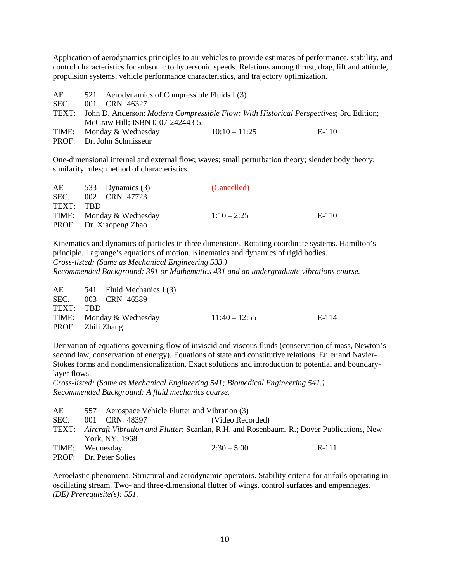Application of aerodynamics principles to air vehicles to provide estimates of performance, stability, and control characteristics for subsonic to hypersonic speeds. Relations among thrust, drag, lift and attitude, propulsion systems, vehicle performance characteristics, and trajectory optimization.

| AE    | 521 Aerodynamics of Compressible Fluids I (3) |                                                                                                |       |
|-------|-----------------------------------------------|------------------------------------------------------------------------------------------------|-------|
| SEC.  | 001 CRN 46327                                 |                                                                                                |       |
| TEXT: |                                               | John D. Anderson; <i>Modern Compressible Flow: With Historical Perspectives</i> ; 3rd Edition; |       |
|       | McGraw Hill; ISBN 0-07-242443-5.              |                                                                                                |       |
|       | TIME: Monday & Wednesday                      | $10:10-11:25$                                                                                  | E-110 |
|       | PROF: Dr. John Schmisseur                     |                                                                                                |       |

One-dimensional internal and external flow; waves; small perturbation theory; slender body theory; similarity rules; method of characteristics.

| AE 533 Dynamics (3)      | (Cancelled)   |       |
|--------------------------|---------------|-------|
| SEC. 002 CRN 47723       |               |       |
| TEXT: TBD                |               |       |
| TIME: Monday & Wednesday | $1:10 - 2:25$ | E-110 |
| PROF: Dr. Xiaopeng Zhao  |               |       |
|                          |               |       |

Kinematics and dynamics of particles in three dimensions. Rotating coordinate systems. Hamilton's principle. Lagrange's equations of motion. Kinematics and dynamics of rigid bodies. *Cross-listed: (Same as Mechanical Engineering 533.)*

*Recommended Background: 391 or Mathematics 431 and an undergraduate vibrations course.*

|                   | $AE$ 541 Fluid Mechanics I (3) |                 |       |
|-------------------|--------------------------------|-----------------|-------|
|                   | SEC. 003 CRN 46589             |                 |       |
| TEXT: TBD         |                                |                 |       |
|                   | TIME: Monday & Wednesday       | $11:40 - 12:55$ | E-114 |
| PROF: Zhili Zhang |                                |                 |       |

Derivation of equations governing flow of inviscid and viscous fluids (conservation of mass, Newton's second law, conservation of energy). Equations of state and constitutive relations. Euler and Navier-Stokes forms and nondimensionalization. Exact solutions and introduction to potential and boundarylayer flows.

*Cross-listed: (Same as Mechanical Engineering 541; Biomedical Engineering 541.) Recommended Background: A fluid mechanics course.*

| AE   |                               |               | 557 Aerospace Vehicle Flutter and Vibration (3)                                                |       |
|------|-------------------------------|---------------|------------------------------------------------------------------------------------------------|-------|
| SEC. |                               | 001 CRN 48397 | (Video Recorded)                                                                               |       |
|      |                               |               | TEXT: Aircraft Vibration and Flutter; Scanlan, R.H. and Rosenbaum, R.; Dover Publications, New |       |
|      | York, NY; 1968                |               |                                                                                                |       |
|      | TIME: Wednesday               |               | $2:30-5:00$                                                                                    | E-111 |
|      | <b>PROF:</b> Dr. Peter Solies |               |                                                                                                |       |

Aeroelastic phenomena. Structural and aerodynamic operators. Stability criteria for airfoils operating in oscillating stream. Two- and three-dimensional flutter of wings, control surfaces and empennages. *(DE) Prerequisite(s): 551.*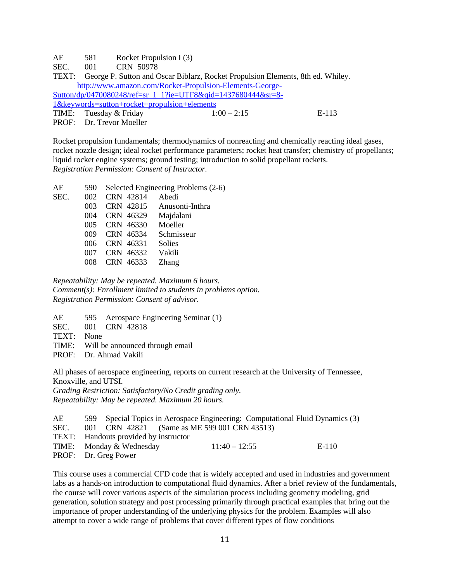AE 581 Rocket Propulsion I (3)

SEC. 001 CRN 50978

TEXT: George P. Sutton and Oscar Biblarz, Rocket Propulsion Elements, 8th ed. Whiley. [http://www.amazon.com/Rocket-Propulsion-Elements-George-](http://www.amazon.com/Rocket-Propulsion-Elements-George-Sutton/dp/0470080248/ref=sr_1_1?ie=UTF8&qid=1437680444&sr=8-1&keywords=sutton+rocket+propulsion+elements)[Sutton/dp/0470080248/ref=sr\\_1\\_1?ie=UTF8&qid=1437680444&sr=8-](http://www.amazon.com/Rocket-Propulsion-Elements-George-Sutton/dp/0470080248/ref=sr_1_1?ie=UTF8&qid=1437680444&sr=8-1&keywords=sutton+rocket+propulsion+elements)  $\frac{1\&keywords=suiton+rocket+propusion+elements}{TIME:}$  TIME: Tuesday & Friday  $1:00-2:15$ Tuesday & Friday  $1:00 - 2:15$  E-113

PROF: Dr. Trevor Moeller

Rocket propulsion fundamentals; thermodynamics of nonreacting and chemically reacting ideal gases, rocket nozzle design; ideal rocket performance parameters; rocket heat transfer; chemistry of propellants; liquid rocket engine systems; ground testing; introduction to solid propellant rockets. *Registration Permission: Consent of Instructor.*

| AE   | 590     |           | Selected Engineering Problems (2-6) |
|------|---------|-----------|-------------------------------------|
| SEC. | $002 -$ | CRN 42814 | Abedi                               |
|      | 003     | CRN 42815 | Anusonti-Inthra                     |
|      | 004     | CRN 46329 | Majdalani                           |
|      | 005     | CRN 46330 | Moeller                             |
|      | 009     | CRN 46334 | Schmisseur                          |
|      | 006     | CRN 46331 | Solies                              |
|      | 007     | CRN 46332 | Vakili                              |
|      |         | CRN 46333 | <b>Zhang</b>                        |
|      |         |           |                                     |

*Repeatability: May be repeated. Maximum 6 hours. Comment(s): Enrollment limited to students in problems option. Registration Permission: Consent of advisor.*

AE 595 Aerospace Engineering Seminar (1)

SEC. 001 CRN 42818

TEXT: None

TIME: Will be announced through email

PROF: Dr. Ahmad Vakili

All phases of aerospace engineering, reports on current research at the University of Tennessee, Knoxville, and UTSI.

*Grading Restriction: Satisfactory/No Credit grading only. Repeatability: May be repeated. Maximum 20 hours.*

| AE.  |                                       |                                              |                 | 599 Special Topics in Aerospace Engineering: Computational Fluid Dynamics (3) |       |
|------|---------------------------------------|----------------------------------------------|-----------------|-------------------------------------------------------------------------------|-------|
| SEC. |                                       | 001 CRN 42821 (Same as ME 599 001 CRN 43513) |                 |                                                                               |       |
|      | TEXT: Handouts provided by instructor |                                              |                 |                                                                               |       |
|      | TIME: Monday & Wednesday              |                                              | $11:40 - 12:55$ |                                                                               | E-110 |
|      | PROF: Dr. Greg Power                  |                                              |                 |                                                                               |       |

This course uses a commercial CFD code that is widely accepted and used in industries and government labs as a hands-on introduction to computational fluid dynamics. After a brief review of the fundamentals, the course will cover various aspects of the simulation process including geometry modeling, grid generation, solution strategy and post processing primarily through practical examples that bring out the importance of proper understanding of the underlying physics for the problem. Examples will also attempt to cover a wide range of problems that cover different types of flow conditions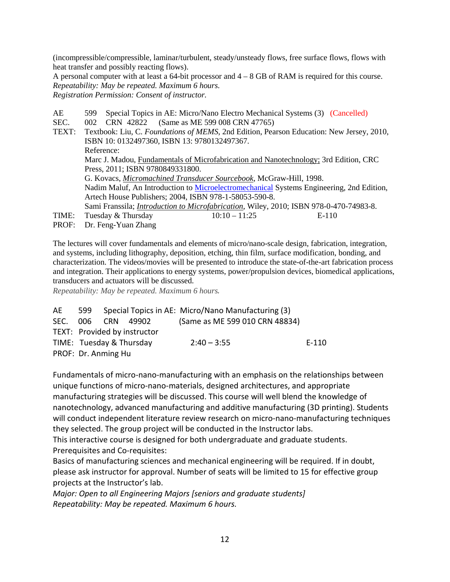(incompressible/compressible, laminar/turbulent, steady/unsteady flows, free surface flows, flows with heat transfer and possibly reacting flows).

A personal computer with at least a 64-bit processor and  $4 - 8$  GB of RAM is required for this course. *Repeatability: May be repeated. Maximum 6 hours. Registration Permission: Consent of instructor.*

AE 599 Special Topics in AE: Micro/Nano Electro Mechanical Systems (3) (Cancelled) SEC. 002 CRN 42822 (Same as ME 599 008 CRN 47765) TEXT: Textbook: Liu, C. *Foundations of MEMS*, 2nd Edition, Pearson Education: New Jersey, 2010, ISBN 10: 0132497360, ISBN 13: 9780132497367. Reference: Marc J. Madou, Fundamentals of Microfabrication and Nanotechnology; 3rd Edition, CRC Press, 2011; ISBN 9780849331800. G. Kovacs, *Micromachined Transducer Sourcebook*, McGraw-Hill, 1998. Nadim Maluf, An Introduction to [Microelectromechanical](http://www.amazon.com/exec/obidos/tg/detail/-/1580535909/qid=1096321638/sr=1-1/ref=sr_1_1/104-8336441-9979102?v=glance&s=books) Systems Engineering, 2nd Edition, Artech House Publishers; 2004, ISBN 978-1-58053-590-8. Sami Franssila; *Introduction to Microfabrication*, Wiley, 2010; ISBN 978-0-470-74983-8. TIME: Tuesday & Thursday  $10:10-11:25$  E-110 PROF: Dr. Feng-Yuan Zhang

The lectures will cover fundamentals and elements of micro/nano-scale design, fabrication, integration, and systems, including lithography, deposition, etching, thin film, surface modification, bonding, and characterization. The videos/movies will be presented to introduce the state-of-the-art fabrication process and integration. Their applications to energy systems, power/propulsion devices, biomedical applications, transducers and actuators will be discussed.

*Repeatability: May be repeated. Maximum 6 hours.*

| AE | 599                 |                              | Special Topics in AE: Micro/Nano Manufacturing (3) |       |
|----|---------------------|------------------------------|----------------------------------------------------|-------|
|    | SEC. 006 CRN        | 49902                        | (Same as ME 599 010 CRN 48834)                     |       |
|    |                     | TEXT: Provided by instructor |                                                    |       |
|    |                     | TIME: Tuesday & Thursday     | $2:40 - 3:55$                                      | E-110 |
|    | PROF: Dr. Anming Hu |                              |                                                    |       |

Fundamentals of micro-nano-manufacturing with an emphasis on the relationships between unique functions of micro-nano-materials, designed architectures, and appropriate manufacturing strategies will be discussed. This course will well blend the knowledge of nanotechnology, advanced manufacturing and additive manufacturing (3D printing). Students will conduct independent literature review research on micro-nano-manufacturing techniques they selected. The group project will be conducted in the Instructor labs.

This interactive course is designed for both undergraduate and graduate students. Prerequisites and Co-requisites:

Basics of manufacturing sciences and mechanical engineering will be required. If in doubt, please ask instructor for approval. Number of seats will be limited to 15 for effective group projects at the Instructor's lab.

*Major: Open to all Engineering Majors [seniors and graduate students] Repeatability: May be repeated. Maximum 6 hours.*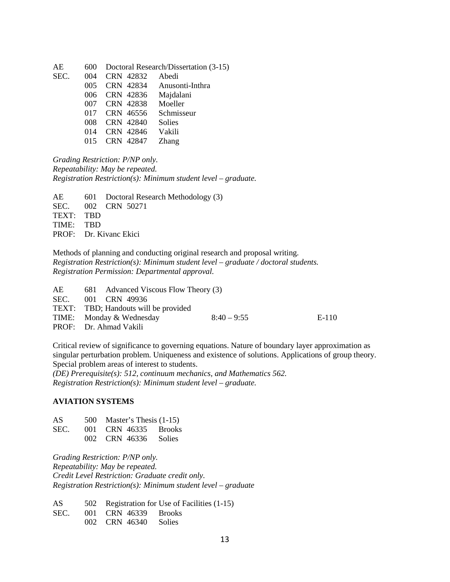| AE   | 600 |           | Doctoral Research/Dissertation (3-15) |
|------|-----|-----------|---------------------------------------|
| SEC. | 004 | CRN 42832 | Abedi                                 |
|      | 005 | CRN 42834 | Anusonti-Inthra                       |
|      | 006 | CRN 42836 | Majdalani                             |
|      | 007 | CRN 42838 | Moeller                               |
|      | 017 | CRN 46556 | Schmisseur                            |
|      | 008 | CRN 42840 | <b>Solies</b>                         |
|      | 014 | CRN 42846 | Vakili                                |
|      | 015 | CRN 42847 | Zhang                                 |
|      |     |           |                                       |

*Grading Restriction: P/NP only. Repeatability: May be repeated. Registration Restriction(s): Minimum student level – graduate.*

AE 601 Doctoral Research Methodology (3) SEC. 002 CRN 50271 TEXT: TBD TIME: TBD PROF: Dr. Kivanc Ekici

Methods of planning and conducting original research and proposal writing. *Registration Restriction(s): Minimum student level – graduate / doctoral students. Registration Permission: Departmental approval.*

| AE | 681 Advanced Viscous Flow Theory (3) |               |       |
|----|--------------------------------------|---------------|-------|
|    | SEC. 001 CRN 49936                   |               |       |
|    | TEXT: TBD; Handouts will be provided |               |       |
|    | TIME: Monday & Wednesday             | $8:40 - 9:55$ | E-110 |
|    | PROF: Dr. Ahmad Vakili               |               |       |

Critical review of significance to governing equations. Nature of boundary layer approximation as singular perturbation problem. Uniqueness and existence of solutions. Applications of group theory. Special problem areas of interest to students.

*(DE) Prerequisite(s): 512, continuum mechanics, and Mathematics 562. Registration Restriction(s): Minimum student level – graduate.*

#### **AVIATION SYSTEMS**

| AS.  | 500 Master's Thesis $(1-15)$ |
|------|------------------------------|
| SEC. | 001 CRN 46335 Brooks         |
|      | 002 CRN 46336 Solies         |

*Grading Restriction: P/NP only. Repeatability: May be repeated. Credit Level Restriction: Graduate credit only. Registration Restriction(s): Minimum student level – graduate*

AS 502 Registration for Use of Facilities (1-15) SEC. 001 CRN 46339 Brooks 002 CRN 46340 Solies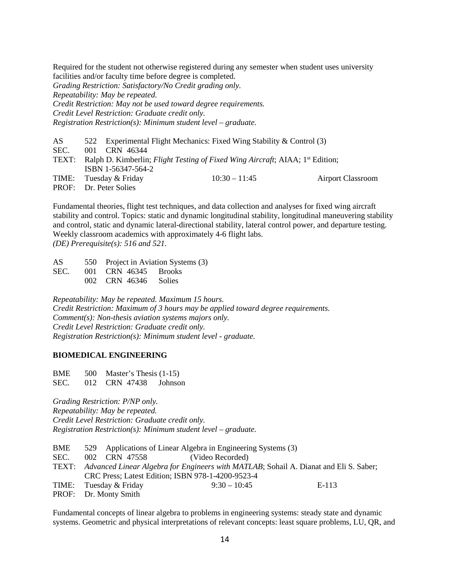Required for the student not otherwise registered during any semester when student uses university facilities and/or faculty time before degree is completed.

*Grading Restriction: Satisfactory/No Credit grading only. Repeatability: May be repeated. Credit Restriction: May not be used toward degree requirements. Credit Level Restriction: Graduate credit only. Registration Restriction(s): Minimum student level – graduate.*

AS 522 Experimental Flight Mechanics: Fixed Wing Stability & Control (3) SEC. 001 CRN 46344 TEXT: Ralph D. Kimberlin; *Flight Testing of Fixed Wing Aircraft*; AIAA; 1<sup>st</sup> Edition; ISBN 1-56347-564-2 TIME: Tuesday & Friday 10:30 – 11:45 Airport Classroom PROF: Dr. Peter Solies

Fundamental theories, flight test techniques, and data collection and analyses for fixed wing aircraft stability and control. Topics: static and dynamic longitudinal stability, longitudinal maneuvering stability and control, static and dynamic lateral-directional stability, lateral control power, and departure testing. Weekly classroom academics with approximately 4-6 flight labs. *(DE) Prerequisite(s): 516 and 521.*

AS 550 Project in Aviation Systems (3) SEC. 001 CRN 46345 Brooks 002 CRN 46346 Solies

*Repeatability: May be repeated. Maximum 15 hours. Credit Restriction: Maximum of 3 hours may be applied toward degree requirements. Comment(s): Non-thesis aviation systems majors only. Credit Level Restriction: Graduate credit only. Registration Restriction(s): Minimum student level - graduate.*

#### **BIOMEDICAL ENGINEERING**

BME 500 Master's Thesis (1-15) SEC. 012 CRN 47438 Johnson

*Grading Restriction: P/NP only. Repeatability: May be repeated. Credit Level Restriction: Graduate credit only. Registration Restriction(s): Minimum student level – graduate.*

- BME 529 Applications of Linear Algebra in Engineering Systems (3)
- SEC. 002 CRN 47558 (Video Recorded)
- TEXT: *Advanced Linear Algebra for Engineers with MATLAB*; Sohail A. Dianat and Eli S. Saber; CRC Press; Latest Edition; ISBN 978-1-4200-9523-4
- TIME: Tuesday & Friday 9:30 10:45 E-113 PROF: Dr. Monty Smith

Fundamental concepts of linear algebra to problems in engineering systems: steady state and dynamic systems. Geometric and physical interpretations of relevant concepts: least square problems, LU, QR, and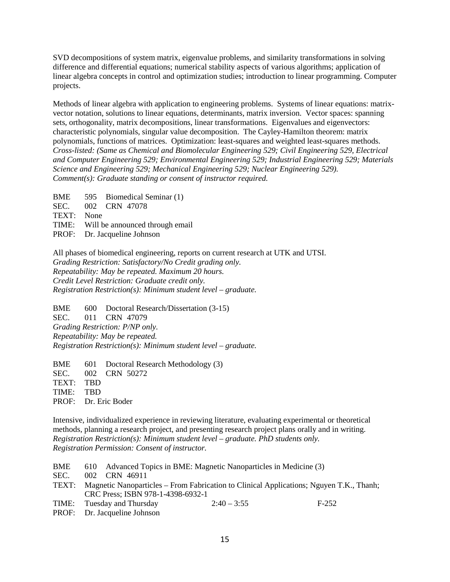SVD decompositions of system matrix, eigenvalue problems, and similarity transformations in solving difference and differential equations; numerical stability aspects of various algorithms; application of linear algebra concepts in control and optimization studies; introduction to linear programming. Computer projects.

Methods of linear algebra with application to engineering problems. Systems of linear equations: matrixvector notation, solutions to linear equations, determinants, matrix inversion. Vector spaces: spanning sets, orthogonality, matrix decompositions, linear transformations. Eigenvalues and eigenvectors: characteristic polynomials, singular value decomposition. The Cayley-Hamilton theorem: matrix polynomials, functions of matrices. Optimization: least-squares and weighted least-squares methods. *Cross-listed: (Same as Chemical and Biomolecular Engineering 529; Civil Engineering 529, Electrical and Computer Engineering 529; Environmental Engineering 529; Industrial Engineering 529; Materials Science and Engineering 529; Mechanical Engineering 529; Nuclear Engineering 529). Comment(s): Graduate standing or consent of instructor required.*

BME 595 Biomedical Seminar (1) SEC. 002 CRN 47078

TEXT: None

TIME: Will be announced through email

PROF: Dr. Jacqueline Johnson

All phases of biomedical engineering, reports on current research at UTK and UTSI. *Grading Restriction: Satisfactory/No Credit grading only. Repeatability: May be repeated. Maximum 20 hours. Credit Level Restriction: Graduate credit only. Registration Restriction(s): Minimum student level – graduate.*

BME 600 Doctoral Research/Dissertation (3-15) SEC. 011 CRN 47079 *Grading Restriction: P/NP only. Repeatability: May be repeated. Registration Restriction(s): Minimum student level – graduate.*

BME 601 Doctoral Research Methodology (3) SEC. 002 CRN 50272 TEXT: TBD TIME: TBD PROF: Dr. Eric Boder

Intensive, individualized experience in reviewing literature, evaluating experimental or theoretical methods, planning a research project, and presenting research project plans orally and in writing. *Registration Restriction(s): Minimum student level – graduate. PhD students only. Registration Permission: Consent of instructor.*

| BME   | 610 Advanced Topics in BME: Magnetic Nanoparticles in Medicine (3)                                                           |               |         |
|-------|------------------------------------------------------------------------------------------------------------------------------|---------------|---------|
| SEC.  | 002 CRN 46911                                                                                                                |               |         |
| TEXT: | Magnetic Nanoparticles – From Fabrication to Clinical Applications; Nguyen T.K., Thanh;<br>CRC Press; ISBN 978-1-4398-6932-1 |               |         |
|       | TIME: Tuesday and Thursday<br>PROF: Dr. Jacqueline Johnson                                                                   | $2:40 - 3:55$ | $F-252$ |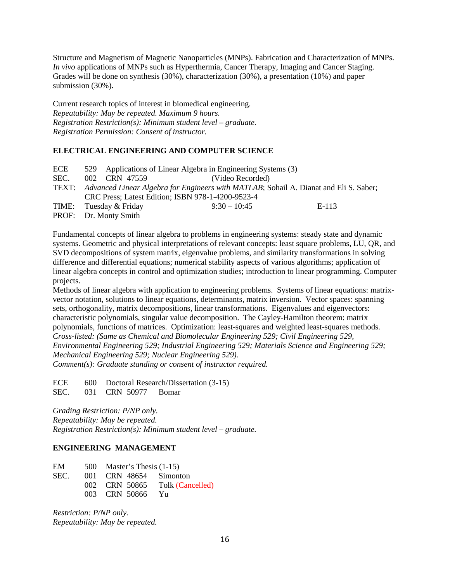Structure and Magnetism of Magnetic Nanoparticles (MNPs). Fabrication and Characterization of MNPs. *In vivo* applications of MNPs such as Hyperthermia, Cancer Therapy, Imaging and Cancer Staging. Grades will be done on synthesis (30%), characterization (30%), a presentation (10%) and paper submission (30%).

Current research topics of interest in biomedical engineering. *Repeatability: May be repeated. Maximum 9 hours. Registration Restriction(s): Minimum student level – graduate. Registration Permission: Consent of instructor.*

#### **ELECTRICAL ENGINEERING AND COMPUTER SCIENCE**

| ECE  |                        | 529 Applications of Linear Algebra in Engineering Systems (3)                               |       |
|------|------------------------|---------------------------------------------------------------------------------------------|-------|
| SEC. | 002 CRN 47559          | (Video Recorded)                                                                            |       |
|      |                        | TEXT: Advanced Linear Algebra for Engineers with MATLAB; Sohail A. Dianat and Eli S. Saber; |       |
|      |                        | CRC Press; Latest Edition; ISBN 978-1-4200-9523-4                                           |       |
|      | TIME: Tuesday & Friday | $9:30 - 10:45$                                                                              | E-113 |
|      | PROF: Dr. Monty Smith  |                                                                                             |       |

Fundamental concepts of linear algebra to problems in engineering systems: steady state and dynamic systems. Geometric and physical interpretations of relevant concepts: least square problems, LU, QR, and SVD decompositions of system matrix, eigenvalue problems, and similarity transformations in solving difference and differential equations; numerical stability aspects of various algorithms; application of linear algebra concepts in control and optimization studies; introduction to linear programming. Computer projects.

Methods of linear algebra with application to engineering problems. Systems of linear equations: matrixvector notation, solutions to linear equations, determinants, matrix inversion. Vector spaces: spanning sets, orthogonality, matrix decompositions, linear transformations. Eigenvalues and eigenvectors: characteristic polynomials, singular value decomposition. The Cayley-Hamilton theorem: matrix polynomials, functions of matrices. Optimization: least-squares and weighted least-squares methods. *Cross-listed: (Same as Chemical and Biomolecular Engineering 529; Civil Engineering 529, Environmental Engineering 529; Industrial Engineering 529; Materials Science and Engineering 529; Mechanical Engineering 529; Nuclear Engineering 529). Comment(s): Graduate standing or consent of instructor required.*

ECE 600 Doctoral Research/Dissertation (3-15) SEC. 031 CRN 50977 Bomar

*Grading Restriction: P/NP only. Repeatability: May be repeated. Registration Restriction(s): Minimum student level – graduate.*

# **ENGINEERING MANAGEMENT**

| EM   | 500 Master's Thesis $(1-15)$ |                                |
|------|------------------------------|--------------------------------|
| SEC. | 001 CRN 48654 Simonton       |                                |
|      |                              | 002 CRN 50865 Tolk (Cancelled) |
|      | 003 CRN 50866 Yu             |                                |

*Restriction: P/NP only. Repeatability: May be repeated.*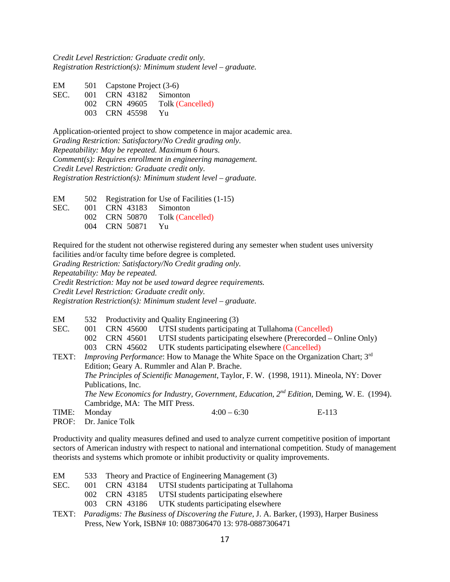*Credit Level Restriction: Graduate credit only. Registration Restriction(s): Minimum student level – graduate.*

| EM   | 501 Capstone Project (3-6) |                  |
|------|----------------------------|------------------|
| SEC. | 001 CRN 43182 Simonton     |                  |
|      | 002 CRN 49605              | Tolk (Cancelled) |
|      | 003 CRN 45598              | – Yu             |

Application-oriented project to show competence in major academic area. *Grading Restriction: Satisfactory/No Credit grading only. Repeatability: May be repeated. Maximum 6 hours. Comment(s): Requires enrollment in engineering management. Credit Level Restriction: Graduate credit only. Registration Restriction(s): Minimum student level – graduate.* 

EM 502 Registration for Use of Facilities (1-15) SEC. 001 CRN 43183 Simonton 002 CRN 50870 Tolk (Cancelled) 004 CRN 50871 Yu

Required for the student not otherwise registered during any semester when student uses university facilities and/or faculty time before degree is completed.

*Grading Restriction: Satisfactory/No Credit grading only.*

*Repeatability: May be repeated.*

*Credit Restriction: May not be used toward degree requirements.*

*Credit Level Restriction: Graduate credit only.*

*Registration Restriction(s): Minimum student level – graduate.*

EM 532 Productivity and Quality Engineering (3)

SEC. 001 CRN 45600 UTSI students participating at Tullahoma (Cancelled)

002 CRN 45601 UTSI students participating elsewhere (Prerecorded – Online Only)

003 CRN 45602 UTK students participating elsewhere (Cancelled)

TEXT: *Improving Performance*: How to Manage the White Space on the Organization Chart; 3rd Edition; Geary A. Rummler and Alan P. Brache. *The Principles of Scientific Management*, Taylor, F. W. (1998, 1911). Mineola, NY: Dover Publications, Inc. *The New Economics for Industry, Government, Education, 2nd Edition,* Deming, W. E. (1994). Cambridge, MA: The MIT Press. TIME: Monday 4:00 – 6:30 E-113

PROF: Dr. Janice Tolk

Productivity and quality measures defined and used to analyze current competitive position of important sectors of American industry with respect to national and international competition. Study of management theorists and systems which promote or inhibit productivity or quality improvements.

| EM |  |  |  |  | 533 Theory and Practice of Engineering Management (3) |  |
|----|--|--|--|--|-------------------------------------------------------|--|
|----|--|--|--|--|-------------------------------------------------------|--|

- SEC. 001 CRN 43184 UTSI students participating at Tullahoma
	- 002 CRN 43185 UTSI students participating elsewhere
	- 003 CRN 43186 UTK students participating elsewhere
- TEXT: *Paradigms: The Business of Discovering the Future*, J. A. Barker, (1993), Harper Business Press, New York, ISBN# 10: 0887306470 13: 978-0887306471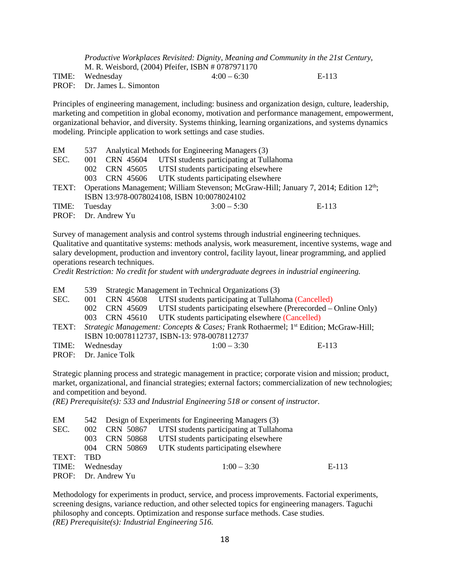*Productive Workplaces Revisited: Dignity, Meaning and Community in the 21st Century*, M. R. Weisbord, (2004) Pfeifer, ISBN # 0787971170 TIME: Wednesday 4:00 – 6:30 E-113 PROF: Dr. James L. Simonton

Principles of engineering management, including: business and organization design, culture, leadership, marketing and competition in global economy, motivation and performance management, empowerment, organizational behavior, and diversity. Systems thinking, learning organizations, and systems dynamics modeling. Principle application to work settings and case studies.

| EM            | 537       |                     | Analytical Methods for Engineering Managers (3)                                                          |         |
|---------------|-----------|---------------------|----------------------------------------------------------------------------------------------------------|---------|
| SEC.          | 001       |                     | CRN 45604 UTSI students participating at Tullahoma                                                       |         |
|               | $002^{-}$ |                     | CRN 45605 UTSI students participating elsewhere                                                          |         |
|               | $003 -$   |                     | CRN 45606 UTK students participating elsewhere                                                           |         |
|               |           |                     | TEXT: Operations Management; William Stevenson; McGraw-Hill; January 7, 2014; Edition 12 <sup>th</sup> ; |         |
|               |           |                     | ISBN 13:978-0078024108, ISBN 10:0078024102                                                               |         |
| TIME: Tuesday |           |                     | $3:00 - 5:30$                                                                                            | $E-113$ |
|               |           | PROF: Dr. Andrew Yu |                                                                                                          |         |

Survey of management analysis and control systems through industrial engineering techniques. Qualitative and quantitative systems: methods analysis, work measurement, incentive systems, wage and salary development, production and inventory control, facility layout, linear programming, and applied operations research techniques.

*Credit Restriction: No credit for student with undergraduate degrees in industrial engineering.*

| EM    |                                                                                                           | 539 Strategic Management in Technical Organizations (3) |                                                                             |         |  |
|-------|-----------------------------------------------------------------------------------------------------------|---------------------------------------------------------|-----------------------------------------------------------------------------|---------|--|
| SEC.  | (001                                                                                                      | CRN 45608                                               | UTSI students participating at Tullahoma (Cancelled)                        |         |  |
|       | $002 -$                                                                                                   |                                                         | CRN 45609 UTSI students participating elsewhere (Prerecorded – Online Only) |         |  |
|       |                                                                                                           |                                                         | 003 CRN 45610 UTK students participating elsewhere (Cancelled)              |         |  |
| TEXT: | <i>Strategic Management: Concepts &amp; Cases; Frank Rothaermel; 1<sup>st</sup> Edition; McGraw-Hill;</i> |                                                         |                                                                             |         |  |
|       |                                                                                                           |                                                         | ISBN 10:0078112737, ISBN-13: 978-0078112737                                 |         |  |
| TIME: |                                                                                                           | Wednesday                                               | $1:00 - 3:30$                                                               | $E-113$ |  |
|       |                                                                                                           | PROF: Dr. Janice Tolk                                   |                                                                             |         |  |

Strategic planning process and strategic management in practice; corporate vision and mission; product, market, organizational, and financial strategies; external factors; commercialization of new technologies; and competition and beyond.

*(RE) Prerequisite(s): 533 and Industrial Engineering 518 or consent of instructor.*

| $E-113$ |
|---------|
|         |
|         |

Methodology for experiments in product, service, and process improvements. Factorial experiments, screening designs, variance reduction, and other selected topics for engineering managers. Taguchi philosophy and concepts. Optimization and response surface methods. Case studies. *(RE) Prerequisite(s): Industrial Engineering 516.*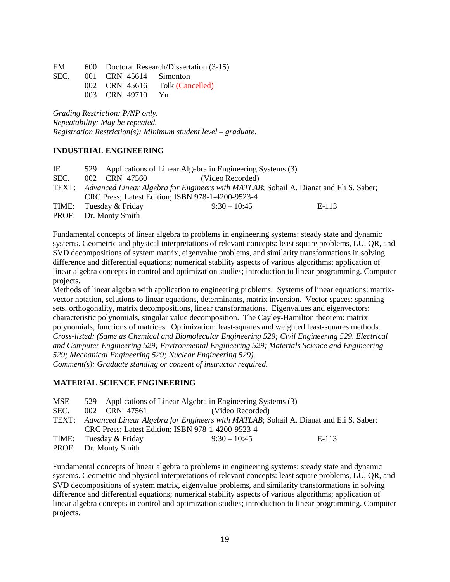EM 600 Doctoral Research/Dissertation (3-15)

SEC. 001 CRN 45614 Simonton 002 CRN 45616 Tolk (Cancelled) 003 CRN 49710 Yu

*Grading Restriction: P/NP only. Repeatability: May be repeated. Registration Restriction(s): Minimum student level – graduate.*

# **INDUSTRIAL ENGINEERING**

|  | (Video Recorded)                                                 |                                                                                                                                                                                                                   |
|--|------------------------------------------------------------------|-------------------------------------------------------------------------------------------------------------------------------------------------------------------------------------------------------------------|
|  |                                                                  |                                                                                                                                                                                                                   |
|  |                                                                  |                                                                                                                                                                                                                   |
|  | $9:30 - 10:45$                                                   | E-113                                                                                                                                                                                                             |
|  |                                                                  |                                                                                                                                                                                                                   |
|  | 002 CRN 47560<br>TIME: Tuesday & Friday<br>PROF: Dr. Monty Smith | 529 Applications of Linear Algebra in Engineering Systems (3)<br>TEXT: Advanced Linear Algebra for Engineers with MATLAB; Sohail A. Dianat and Eli S. Saber;<br>CRC Press; Latest Edition; ISBN 978-1-4200-9523-4 |

Fundamental concepts of linear algebra to problems in engineering systems: steady state and dynamic systems. Geometric and physical interpretations of relevant concepts: least square problems, LU, QR, and SVD decompositions of system matrix, eigenvalue problems, and similarity transformations in solving difference and differential equations; numerical stability aspects of various algorithms; application of linear algebra concepts in control and optimization studies; introduction to linear programming. Computer projects.

Methods of linear algebra with application to engineering problems. Systems of linear equations: matrixvector notation, solutions to linear equations, determinants, matrix inversion. Vector spaces: spanning sets, orthogonality, matrix decompositions, linear transformations. Eigenvalues and eigenvectors: characteristic polynomials, singular value decomposition. The Cayley-Hamilton theorem: matrix polynomials, functions of matrices. Optimization: least-squares and weighted least-squares methods. *Cross-listed: (Same as Chemical and Biomolecular Engineering 529; Civil Engineering 529, Electrical and Computer Engineering 529; Environmental Engineering 529; Materials Science and Engineering 529; Mechanical Engineering 529; Nuclear Engineering 529). Comment(s): Graduate standing or consent of instructor required.*

# **MATERIAL SCIENCE ENGINEERING**

| MSE  |                        | 529 Applications of Linear Algebra in Engineering Systems (3)                               |       |
|------|------------------------|---------------------------------------------------------------------------------------------|-------|
| SEC. | 002 CRN 47561          | (Video Recorded)                                                                            |       |
|      |                        | TEXT: Advanced Linear Algebra for Engineers with MATLAB; Sohail A. Dianat and Eli S. Saber; |       |
|      |                        | CRC Press; Latest Edition; ISBN 978-1-4200-9523-4                                           |       |
|      | TIME: Tuesday & Friday | $9:30 - 10:45$                                                                              | E-113 |
|      | PROF: Dr. Monty Smith  |                                                                                             |       |

Fundamental concepts of linear algebra to problems in engineering systems: steady state and dynamic systems. Geometric and physical interpretations of relevant concepts: least square problems, LU, QR, and SVD decompositions of system matrix, eigenvalue problems, and similarity transformations in solving difference and differential equations; numerical stability aspects of various algorithms; application of linear algebra concepts in control and optimization studies; introduction to linear programming. Computer projects.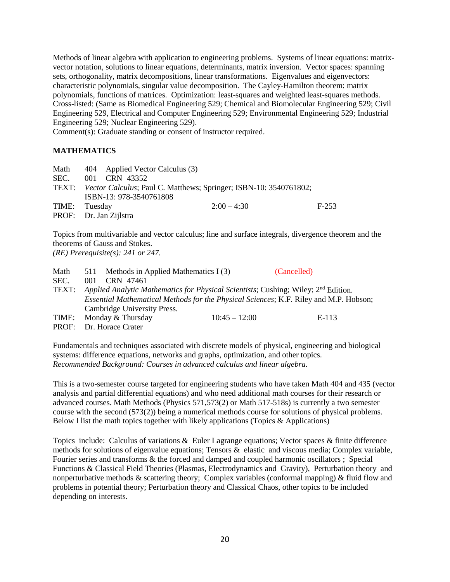Methods of linear algebra with application to engineering problems. Systems of linear equations: matrixvector notation, solutions to linear equations, determinants, matrix inversion. Vector spaces: spanning sets, orthogonality, matrix decompositions, linear transformations. Eigenvalues and eigenvectors: characteristic polynomials, singular value decomposition. The Cayley-Hamilton theorem: matrix polynomials, functions of matrices. Optimization: least-squares and weighted least-squares methods. Cross-listed: (Same as Biomedical Engineering 529; Chemical and Biomolecular Engineering 529; Civil Engineering 529, Electrical and Computer Engineering 529; Environmental Engineering 529; Industrial Engineering 529; Nuclear Engineering 529).

Comment(s): Graduate standing or consent of instructor required.

#### **MATHEMATICS**

| Math          | 404 Applied Vector Calculus (3)                                         |         |
|---------------|-------------------------------------------------------------------------|---------|
| SEC.          | 001 CRN 43352                                                           |         |
|               | TEXT: Vector Calculus; Paul C. Matthews; Springer; ISBN-10: 3540761802; |         |
|               | ISBN-13: 978-3540761808                                                 |         |
| TIME: Tuesday | $2:00 - 4:30$                                                           | $F-253$ |
|               | PROF: Dr. Jan Zijlstra                                                  |         |

Topics from multivariable and vector calculus; line and surface integrals, divergence theorem and the theorems of Gauss and Stokes. *(RE) Prerequisite(s): 241 or 247.* 

| Math  |     | 511 Methods in Applied Mathematics I (3)                                                       |                 | (Cancelled) |
|-------|-----|------------------------------------------------------------------------------------------------|-----------------|-------------|
| SEC.  | 001 | CRN 47461                                                                                      |                 |             |
| TEXT: |     | Applied Analytic Mathematics for Physical Scientists; Cushing; Wiley; 2 <sup>nd</sup> Edition. |                 |             |
|       |     | Essential Mathematical Methods for the Physical Sciences; K.F. Riley and M.P. Hobson;          |                 |             |
|       |     | Cambridge University Press.                                                                    |                 |             |
| TIME: |     | Monday & Thursday                                                                              | $10:45 - 12:00$ | E-113       |
|       |     | PROF: Dr. Horace Crater                                                                        |                 |             |

Fundamentals and techniques associated with discrete models of physical, engineering and biological systems: difference equations, networks and graphs, optimization, and other topics. *Recommended Background: Courses in advanced calculus and linear algebra.*

This is a two-semester course targeted for engineering students who have taken Math 404 and 435 (vector analysis and partial differential equations) and who need additional math courses for their research or advanced courses. Math Methods (Physics 571,573(2) or Math 517-518s) is currently a two semester course with the second (573(2)) being a numerical methods course for solutions of physical problems. Below I list the math topics together with likely applications (Topics & Applications)

Topics include: Calculus of variations & Euler Lagrange equations; Vector spaces & finite difference methods for solutions of eigenvalue equations; Tensors & elastic and viscous media; Complex variable, Fourier series and transforms & the forced and damped and coupled harmonic oscillators ; Special Functions & Classical Field Theories (Plasmas, Electrodynamics and Gravity), Perturbation theory and nonperturbative methods & scattering theory; Complex variables (conformal mapping) & fluid flow and problems in potential theory; Perturbation theory and Classical Chaos, other topics to be included depending on interests.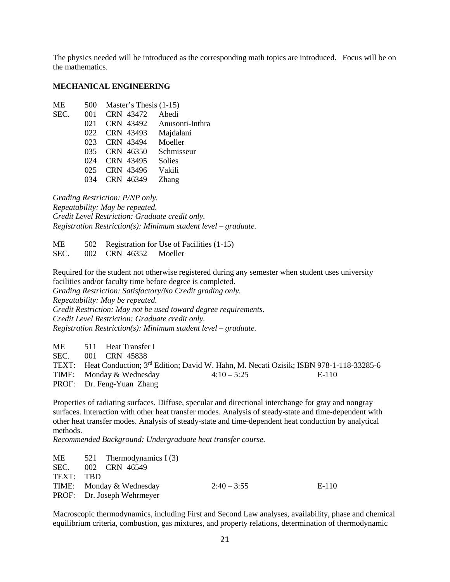The physics needed will be introduced as the corresponding math topics are introduced. Focus will be on the mathematics.

#### **MECHANICAL ENGINEERING**

| 500 | Master's Thesis (1-15) |                           |
|-----|------------------------|---------------------------|
| 001 | CRN 43472              | Abedi                     |
| 021 |                        | CRN 43492 Anusonti-Inthra |
| 022 | CRN 43493              | Majdalani                 |
| 023 | CRN 43494              | Moeller                   |
| 035 | CRN 46350              | Schmisseur                |
| 024 | CRN 43495              | <b>Solies</b>             |
| 025 | CRN 43496              | Vakili                    |
|     | CRN 46349              | Zhang                     |
|     |                        |                           |

*Grading Restriction: P/NP only. Repeatability: May be repeated. Credit Level Restriction: Graduate credit only. Registration Restriction(s): Minimum student level – graduate.*

ME 502 Registration for Use of Facilities (1-15) SEC. 002 CRN 46352 Moeller

Required for the student not otherwise registered during any semester when student uses university facilities and/or faculty time before degree is completed.

*Grading Restriction: Satisfactory/No Credit grading only. Repeatability: May be repeated. Credit Restriction: May not be used toward degree requirements. Credit Level Restriction: Graduate credit only. Registration Restriction(s): Minimum student level – graduate.*

ME 511 Heat Transfer I SEC. 001 CRN 45838 TEXT: Heat Conduction;  $3^{rd}$  Edition; David W. Hahn, M. Necati Ozisik; ISBN 978-1-118-33285-6<br>TIME: Mondav & Wednesday  $4:10-5:25$  E-110 TIME: Monday & Wednesday  $4:10-5:25$ PROF: Dr. Feng-Yuan Zhang

Properties of radiating surfaces. Diffuse, specular and directional interchange for gray and nongray surfaces. Interaction with other heat transfer modes. Analysis of steady-state and time-dependent with other heat transfer modes. Analysis of steady-state and time-dependent heat conduction by analytical methods.

*Recommended Background: Undergraduate heat transfer course.*

ME  $521$  Thermodynamics I (3) SEC. 002 CRN 46549 TEXT: TBD TIME: Monday & Wednesday  $2:40-3:55$  E-110 PROF: Dr. Joseph Wehrmeyer

Macroscopic thermodynamics, including First and Second Law analyses, availability, phase and chemical equilibrium criteria, combustion, gas mixtures, and property relations, determination of thermodynamic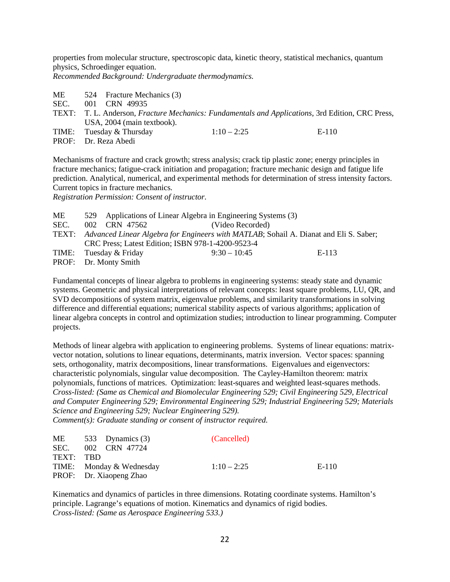properties from molecular structure, spectroscopic data, kinetic theory, statistical mechanics, quantum physics, Schroedinger equation.

*Recommended Background: Undergraduate thermodynamics.* 

- ME 524 Fracture Mechanics (3) SEC. 001 CRN 49935 TEXT: T. L. Anderson, *Fracture Mechanics: Fundamentals and Applications*, 3rd Edition, CRC Press, USA, 2004 (main textbook). TIME: Tuesday & Thursday  $1:10-2:25$  E-110
- PROF: Dr. Reza Abedi

Mechanisms of fracture and crack growth; stress analysis; crack tip plastic zone; energy principles in fracture mechanics; fatigue-crack initiation and propagation; fracture mechanic design and fatigue life prediction. Analytical, numerical, and experimental methods for determination of stress intensity factors. Current topics in fracture mechanics.

*Registration Permission: Consent of instructor.*

| МE   |                        | 529 Applications of Linear Algebra in Engineering Systems (3)                               |       |
|------|------------------------|---------------------------------------------------------------------------------------------|-------|
| SEC. | 002 CRN 47562          | (Video Recorded)                                                                            |       |
|      |                        | TEXT: Advanced Linear Algebra for Engineers with MATLAB; Sohail A. Dianat and Eli S. Saber; |       |
|      |                        | CRC Press; Latest Edition; ISBN 978-1-4200-9523-4                                           |       |
|      | TIME: Tuesday & Friday | $9:30 - 10:45$                                                                              | E-113 |
|      | PROF: Dr. Monty Smith  |                                                                                             |       |

Fundamental concepts of linear algebra to problems in engineering systems: steady state and dynamic systems. Geometric and physical interpretations of relevant concepts: least square problems, LU, QR, and SVD decompositions of system matrix, eigenvalue problems, and similarity transformations in solving difference and differential equations; numerical stability aspects of various algorithms; application of linear algebra concepts in control and optimization studies; introduction to linear programming. Computer projects.

Methods of linear algebra with application to engineering problems. Systems of linear equations: matrixvector notation, solutions to linear equations, determinants, matrix inversion. Vector spaces: spanning sets, orthogonality, matrix decompositions, linear transformations. Eigenvalues and eigenvectors: characteristic polynomials, singular value decomposition. The Cayley-Hamilton theorem: matrix polynomials, functions of matrices. Optimization: least-squares and weighted least-squares methods. *Cross-listed: (Same as Chemical and Biomolecular Engineering 529; Civil Engineering 529, Electrical and Computer Engineering 529; Environmental Engineering 529; Industrial Engineering 529; Materials Science and Engineering 529; Nuclear Engineering 529).*

*Comment(s): Graduate standing or consent of instructor required.*

|           | $ME = 533$ Dynamics (3)  | (Cancelled)   |       |
|-----------|--------------------------|---------------|-------|
|           | SEC. 002 CRN 47724       |               |       |
| TEXT: TRD |                          |               |       |
|           | TIME: Monday & Wednesday | $1:10 - 2:25$ | E-110 |
|           | PROF: Dr. Xiaopeng Zhao  |               |       |

Kinematics and dynamics of particles in three dimensions. Rotating coordinate systems. Hamilton's principle. Lagrange's equations of motion. Kinematics and dynamics of rigid bodies. *Cross-listed: (Same as Aerospace Engineering 533.)*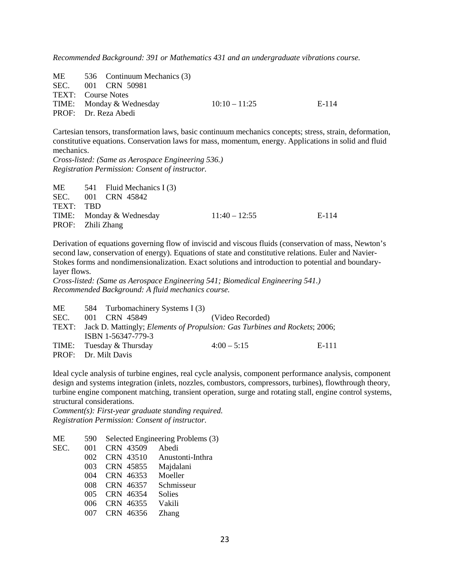*Recommended Background: 391 or Mathematics 431 and an undergraduate vibrations course.*

ME 536 Continuum Mechanics (3) SEC. 001 CRN 50981 TEXT: Course Notes TIME: Monday & Wednesday  $10:10-11:25$  E-114 PROF: Dr. Reza Abedi

Cartesian tensors, transformation laws, basic continuum mechanics concepts; stress, strain, deformation, constitutive equations. Conservation laws for mass, momentum, energy. Applications in solid and fluid mechanics.

*Cross-listed: (Same as Aerospace Engineering 536.) Registration Permission: Consent of instructor.*

| ME                | 541 Fluid Mechanics I (3) |                 |       |
|-------------------|---------------------------|-----------------|-------|
|                   | SEC. 001 CRN 45842        |                 |       |
| TEXT: TRD         |                           |                 |       |
|                   | TIME: Monday & Wednesday  | $11:40 - 12:55$ | E-114 |
| PROF: Zhili Zhang |                           |                 |       |

Derivation of equations governing flow of inviscid and viscous fluids (conservation of mass, Newton's second law, conservation of energy). Equations of state and constitutive relations. Euler and Navier-Stokes forms and nondimensionalization. Exact solutions and introduction to potential and boundarylayer flows.

*Cross-listed: (Same as Aerospace Engineering 541; Biomedical Engineering 541.) Recommended Background: A fluid mechanics course.*

| МE   | 584 Turbomachinery Systems I (3) |                                                                                  |       |
|------|----------------------------------|----------------------------------------------------------------------------------|-------|
| SEC. | 001 CRN 45849                    | (Video Recorded)                                                                 |       |
|      |                                  | TEXT: Jack D. Mattingly; Elements of Propulsion: Gas Turbines and Rockets; 2006; |       |
|      | ISBN 1-56347-779-3               |                                                                                  |       |
|      | TIME: Tuesday & Thursday         | $4:00 - 5:15$                                                                    | E-111 |
|      | PROF: Dr. Milt Davis             |                                                                                  |       |

Ideal cycle analysis of turbine engines, real cycle analysis, component performance analysis, component design and systems integration (inlets, nozzles, combustors, compressors, turbines), flowthrough theory, turbine engine component matching, transient operation, surge and rotating stall, engine control systems, structural considerations.

*Comment(s): First-year graduate standing required. Registration Permission: Consent of instructor.*

| MЕ   | 590 |           | Selected Engineering Problems (3) |
|------|-----|-----------|-----------------------------------|
| SEC. | 001 | CRN 43509 | Abedi                             |
|      | 002 | CRN 43510 | Anustonti-Inthra                  |
|      | 003 | CRN 45855 | Majdalani                         |
|      | 004 | CRN 46353 | Moeller                           |
|      | 008 | CRN 46357 | Schmisseur                        |
|      | 005 | CRN 46354 | <b>Solies</b>                     |
|      | 006 | CRN 46355 | Vakili                            |
|      |     | CRN 46356 | <b>Zhang</b>                      |
|      |     |           |                                   |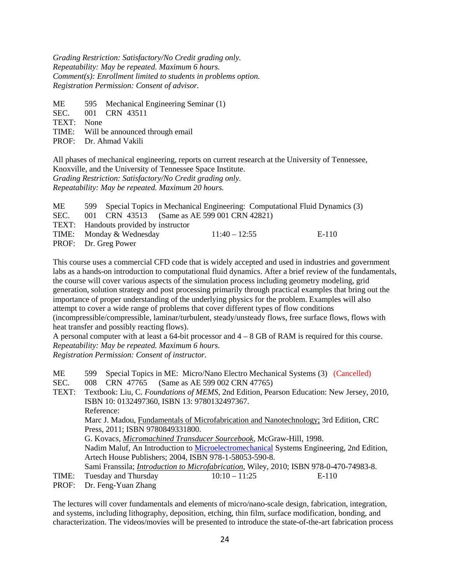*Grading Restriction: Satisfactory/No Credit grading only. Repeatability: May be repeated. Maximum 6 hours. Comment(s): Enrollment limited to students in problems option. Registration Permission: Consent of advisor.*

ME 595 Mechanical Engineering Seminar (1)<br>SEC. 001 CRN 43511

- 001 CRN 43511
- TEXT: None

TIME: Will be announced through email

PROF: Dr. Ahmad Vakili

All phases of mechanical engineering, reports on current research at the University of Tennessee, Knoxville, and the University of Tennessee Space Institute. *Grading Restriction: Satisfactory/No Credit grading only. Repeatability: May be repeated. Maximum 20 hours.*

| ME   |                                              |                 | 599 Special Topics in Mechanical Engineering: Computational Fluid Dynamics (3) |       |
|------|----------------------------------------------|-----------------|--------------------------------------------------------------------------------|-------|
| SEC. | 001 CRN 43513 (Same as AE 599 001 CRN 42821) |                 |                                                                                |       |
|      | TEXT: Handouts provided by instructor        |                 |                                                                                |       |
|      | TIME: Monday & Wednesday                     | $11:40 - 12:55$ |                                                                                | E-110 |
|      | PROF: Dr. Greg Power                         |                 |                                                                                |       |

This course uses a commercial CFD code that is widely accepted and used in industries and government labs as a hands-on introduction to computational fluid dynamics. After a brief review of the fundamentals, the course will cover various aspects of the simulation process including geometry modeling, grid generation, solution strategy and post processing primarily through practical examples that bring out the importance of proper understanding of the underlying physics for the problem. Examples will also attempt to cover a wide range of problems that cover different types of flow conditions (incompressible/compressible, laminar/turbulent, steady/unsteady flows, free surface flows, flows with heat transfer and possibly reacting flows).

A personal computer with at least a 64-bit processor and  $4 - 8$  GB of RAM is required for this course. *Repeatability: May be repeated. Maximum 6 hours.*

*Registration Permission: Consent of instructor.*

| ME  |               | 599 Special Topics in ME: Micro/Nano Electro Mechanical Systems (3) (Cancelled) |  |
|-----|---------------|---------------------------------------------------------------------------------|--|
| --- | ------------- |                                                                                 |  |

SEC. 008 CRN 47765 (Same as AE 599 002 CRN 47765)

TEXT: Textbook: Liu, C. *Foundations of MEMS*, 2nd Edition, Pearson Education: New Jersey, 2010, ISBN 10: 0132497360, ISBN 13: 9780132497367. Reference: Marc J. Madou, Fundamentals of Microfabrication and Nanotechnology; 3rd Edition, CRC Press, 2011; ISBN 9780849331800. G. Kovacs, *Micromachined Transducer Sourcebook*, McGraw-Hill, 1998. Nadim Maluf, An Introduction to [Microelectromechanical](http://www.amazon.com/exec/obidos/tg/detail/-/1580535909/qid=1096321638/sr=1-1/ref=sr_1_1/104-8336441-9979102?v=glance&s=books) Systems Engineering, 2nd Edition, Artech House Publishers; 2004, ISBN 978-1-58053-590-8. Sami Franssila; *Introduction to Microfabrication*, Wiley, 2010; ISBN 978-0-470-74983-8. TIME: Tuesday and Thursday  $10:10-11:25$  E-110

PROF: Dr. Feng-Yuan Zhang

The lectures will cover fundamentals and elements of micro/nano-scale design, fabrication, integration, and systems, including lithography, deposition, etching, thin film, surface modification, bonding, and characterization. The videos/movies will be presented to introduce the state-of-the-art fabrication process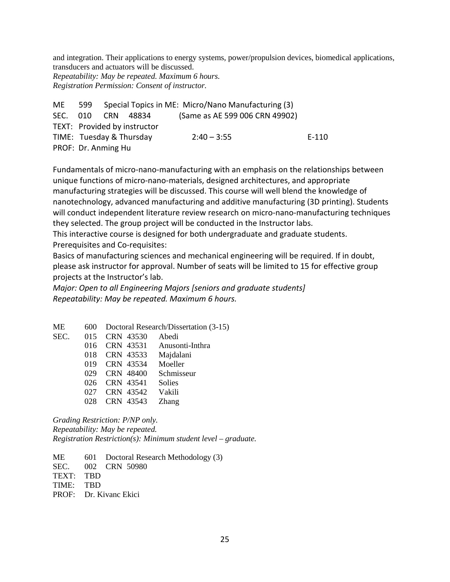and integration. Their applications to energy systems, power/propulsion devices, biomedical applications, transducers and actuators will be discussed.

*Repeatability: May be repeated. Maximum 6 hours. Registration Permission: Consent of instructor.*

| ME |                     |                              | 599 Special Topics in ME: Micro/Nano Manufacturing (3) |         |
|----|---------------------|------------------------------|--------------------------------------------------------|---------|
|    |                     | SEC. 010 CRN 48834           | (Same as AE 599 006 CRN 49902)                         |         |
|    |                     | TEXT: Provided by instructor |                                                        |         |
|    |                     | TIME: Tuesday & Thursday     | $2:40 - 3:55$                                          | $F-110$ |
|    | PROF: Dr. Anming Hu |                              |                                                        |         |

Fundamentals of micro-nano-manufacturing with an emphasis on the relationships between unique functions of micro-nano-materials, designed architectures, and appropriate manufacturing strategies will be discussed. This course will well blend the knowledge of nanotechnology, advanced manufacturing and additive manufacturing (3D printing). Students will conduct independent literature review research on micro-nano-manufacturing techniques they selected. The group project will be conducted in the Instructor labs.

This interactive course is designed for both undergraduate and graduate students. Prerequisites and Co-requisites:

Basics of manufacturing sciences and mechanical engineering will be required. If in doubt, please ask instructor for approval. Number of seats will be limited to 15 for effective group projects at the Instructor's lab.

*Major: Open to all Engineering Majors [seniors and graduate students] Repeatability: May be repeated. Maximum 6 hours.*

ME 600 Doctoral Research/Dissertation (3-15) SEC. 015 CRN 43530 Abedi CRN 43531 Anusonti-Inthra CRN 43533 Majdalani CRN 43534 Moeller CRN 48400 Schmisseur CRN 43541 Solies CRN 43542 Vakili CRN 43543 Zhang

*Grading Restriction: P/NP only. Repeatability: May be repeated. Registration Restriction(s): Minimum student level – graduate.*

ME 601 Doctoral Research Methodology (3)

SEC. 002 CRN 50980

TEXT: TBD

TIME: TBD

PROF: Dr. Kivanc Ekici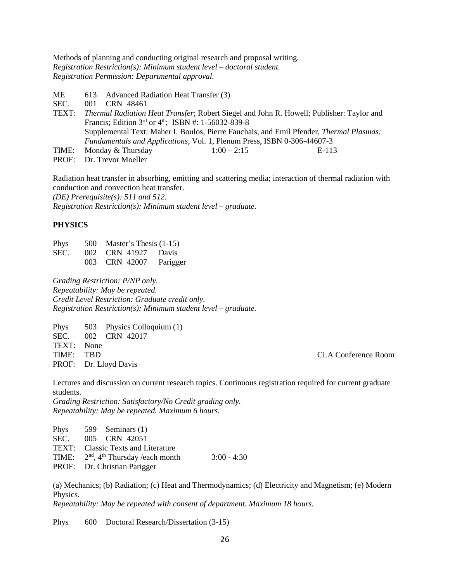Methods of planning and conducting original research and proposal writing. *Registration Restriction(s): Minimum student level – doctoral student. Registration Permission: Departmental approval.*

- ME 613 Advanced Radiation Heat Transfer (3)
- SEC. 001 CRN 48461<br>TEXT: Thermal Radiation
- Thermal Radiation Heat Transfer; Robert Siegel and John R. Howell; Publisher: Taylor and Francis; Edition  $3^{rd}$  or  $4^{th}$ ; ISBN #: 1-56032-839-8 Supplemental Text: Maher I. Boulos, Pierre Fauchais, and Emil Pfender, *Thermal Plasmas: Fundamentals and Applications*, Vol. 1, Plenum Press, ISBN 0-306-44607-3 TIME: Monday & Thursday  $1:00-2:15$  E-113
- PROF: Dr. Trevor Moeller

Radiation heat transfer in absorbing, emitting and scattering media; interaction of thermal radiation with conduction and convection heat transfer.

*(DE) Prerequisite(s): 511 and 512.*

*Registration Restriction(s): Minimum student level – graduate.*

#### **PHYSICS**

| Phys | 500 Master's Thesis $(1-15)$ |          |
|------|------------------------------|----------|
| SEC. | 002 CRN 41927 Davis          |          |
|      | 003 CRN 42007                | Parigger |

*Grading Restriction: P/NP only. Repeatability: May be repeated. Credit Level Restriction: Graduate credit only. Registration Restriction(s): Minimum student level – graduate.*

Phys 503 Physics Colloquium (1) SEC. 002 CRN 42017 TEXT: None TIME: TBD CLA Conference Room PROF: Dr. Lloyd Davis

Lectures and discussion on current research topics. Continuous registration required for current graduate students.

*Grading Restriction: Satisfactory/No Credit grading only. Repeatability: May be repeated. Maximum 6 hours.* 

| $3:00 - 4:30$ |
|---------------|
|               |
|               |

(a) Mechanics; (b) Radiation; (c) Heat and Thermodynamics; (d) Electricity and Magnetism; (e) Modern Physics.

*Repeatability: May be repeated with consent of department. Maximum 18 hours.*

Phys 600 Doctoral Research/Dissertation (3-15)